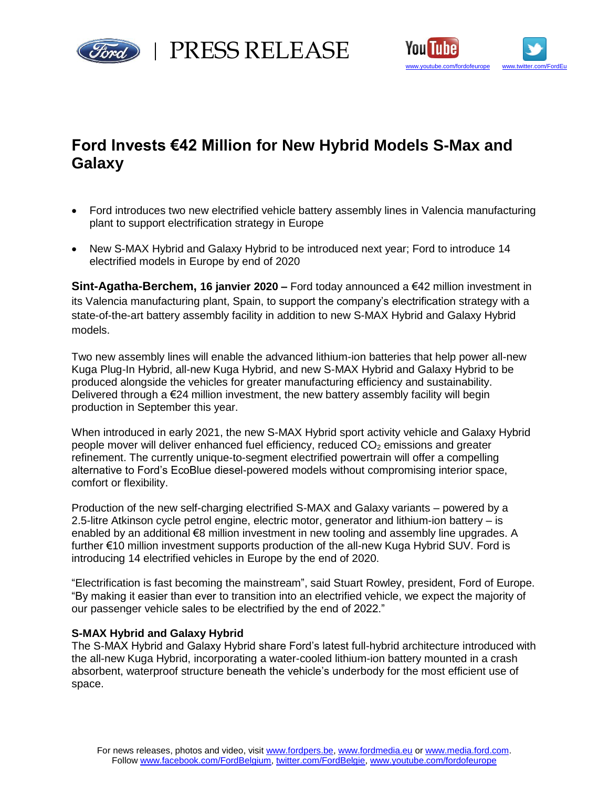



# **Ford Invests €42 Million for New Hybrid Models S-Max and Galaxy**

- Ford introduces two new electrified vehicle battery assembly lines in Valencia manufacturing plant to support electrification strategy in Europe
- New S-MAX Hybrid and Galaxy Hybrid to be introduced next year; Ford to introduce 14 electrified models in Europe by end of 2020

**Sint-Agatha-Berchem, 16 janvier 2020 –** Ford today announced a €42 million investment in its Valencia manufacturing plant, Spain, to support the company's electrification strategy with a state-of-the-art battery assembly facility in addition to new S-MAX Hybrid and Galaxy Hybrid models.

Two new assembly lines will enable the advanced lithium-ion batteries that help power all-new Kuga Plug-In Hybrid, all-new Kuga Hybrid, and new S-MAX Hybrid and Galaxy Hybrid to be produced alongside the vehicles for greater manufacturing efficiency and sustainability. Delivered through a  $\epsilon$ 24 million investment, the new battery assembly facility will begin production in September this year.

When introduced in early 2021, the new S-MAX Hybrid sport activity vehicle and Galaxy Hybrid people mover will deliver enhanced fuel efficiency, reduced  $CO<sub>2</sub>$  emissions and greater refinement. The currently unique-to-segment electrified powertrain will offer a compelling alternative to Ford's EcoBlue diesel-powered models without compromising interior space, comfort or flexibility.

Production of the new self-charging electrified S-MAX and Galaxy variants – powered by a 2.5-litre Atkinson cycle petrol engine, electric motor, generator and lithium-ion battery – is enabled by an additional €8 million investment in new tooling and assembly line upgrades. A further €10 million investment supports production of the all-new Kuga Hybrid SUV. Ford is introducing 14 electrified vehicles in Europe by the end of 2020.

"Electrification is fast becoming the mainstream", said Stuart Rowley, president, Ford of Europe. "By making it easier than ever to transition into an electrified vehicle, we expect the majority of our passenger vehicle sales to be electrified by the end of 2022."

## **S-MAX Hybrid and Galaxy Hybrid**

The S-MAX Hybrid and Galaxy Hybrid share Ford's latest full-hybrid architecture introduced with the all-new Kuga Hybrid, incorporating a water-cooled lithium-ion battery mounted in a crash absorbent, waterproof structure beneath the vehicle's underbody for the most efficient use of space.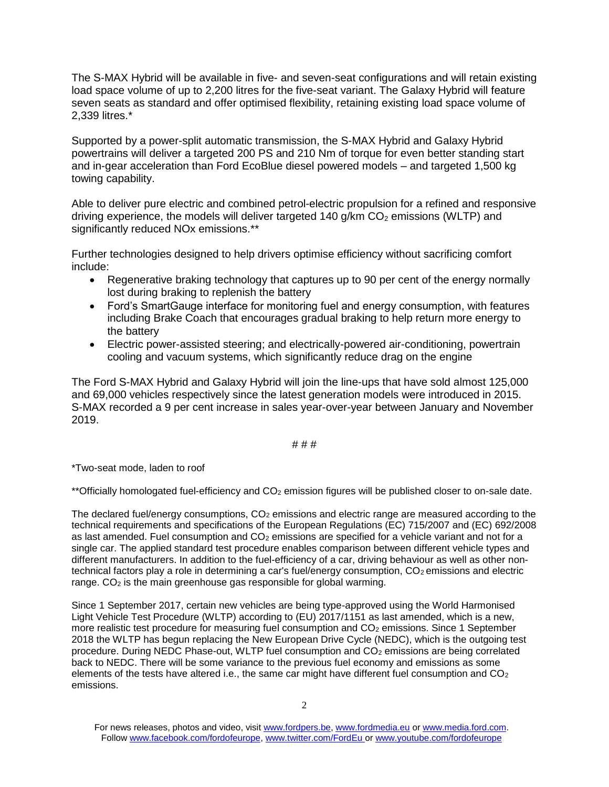The S-MAX Hybrid will be available in five- and seven-seat configurations and will retain existing load space volume of up to 2,200 litres for the five-seat variant. The Galaxy Hybrid will feature seven seats as standard and offer optimised flexibility, retaining existing load space volume of 2,339 litres.\*

Supported by a power-split automatic transmission, the S-MAX Hybrid and Galaxy Hybrid powertrains will deliver a targeted 200 PS and 210 Nm of torque for even better standing start and in-gear acceleration than Ford EcoBlue diesel powered models – and targeted 1,500 kg towing capability.

Able to deliver pure electric and combined petrol-electric propulsion for a refined and responsive driving experience, the models will deliver targeted 140 g/km  $CO<sub>2</sub>$  emissions (WLTP) and significantly reduced NOx emissions.\*\*

Further technologies designed to help drivers optimise efficiency without sacrificing comfort include:

- Regenerative braking technology that captures up to 90 per cent of the energy normally lost during braking to replenish the battery
- Ford's SmartGauge interface for monitoring fuel and energy consumption, with features including Brake Coach that encourages gradual braking to help return more energy to the battery
- Electric power-assisted steering; and electrically-powered air-conditioning, powertrain cooling and vacuum systems, which significantly reduce drag on the engine

The Ford S-MAX Hybrid and Galaxy Hybrid will join the line-ups that have sold almost 125,000 and 69,000 vehicles respectively since the latest generation models were introduced in 2015. S-MAX recorded a 9 per cent increase in sales year-over-year between January and November 2019.

### # # #

\*Two-seat mode, laden to roof

\*\*Officially homologated fuel-efficiency and CO<sub>2</sub> emission figures will be published closer to on-sale date.

The declared fuel/energy consumptions,  $CO<sub>2</sub>$  emissions and electric range are measured according to the technical requirements and specifications of the European Regulations (EC) 715/2007 and (EC) 692/2008 as last amended. Fuel consumption and CO<sub>2</sub> emissions are specified for a vehicle variant and not for a single car. The applied standard test procedure enables comparison between different vehicle types and different manufacturers. In addition to the fuel-efficiency of a car, driving behaviour as well as other nontechnical factors play a role in determining a car's fuel/energy consumption, CO<sub>2</sub> emissions and electric range.  $CO<sub>2</sub>$  is the main greenhouse gas responsible for global warming.

Since 1 September 2017, certain new vehicles are being type-approved using the World Harmonised Light Vehicle Test Procedure (WLTP) according to (EU) 2017/1151 as last amended, which is a new, more realistic test procedure for measuring fuel consumption and CO<sub>2</sub> emissions. Since 1 September 2018 the WLTP has begun replacing the New European Drive Cycle (NEDC), which is the outgoing test procedure. During NEDC Phase-out, WLTP fuel consumption and CO<sub>2</sub> emissions are being correlated back to NEDC. There will be some variance to the previous fuel economy and emissions as some elements of the tests have altered i.e., the same car might have different fuel consumption and  $CO<sub>2</sub>$ emissions.

For news releases, photos and video, visit [www.fordpers.be,](http://www.fordpers.be/) [www.fordmedia.eu](http://www.fordmedia.eu/) or [www.media.ford.com.](http://www.media.ford.com/) Follo[w www.facebook.com/fordofeurope,](http://www.facebook.com/fordofeurope) [www.twitter.com/FordEu](http://www.twitter.com/FordEu) o[r www.youtube.com/fordofeurope](http://www.youtube.com/fordofeurope)